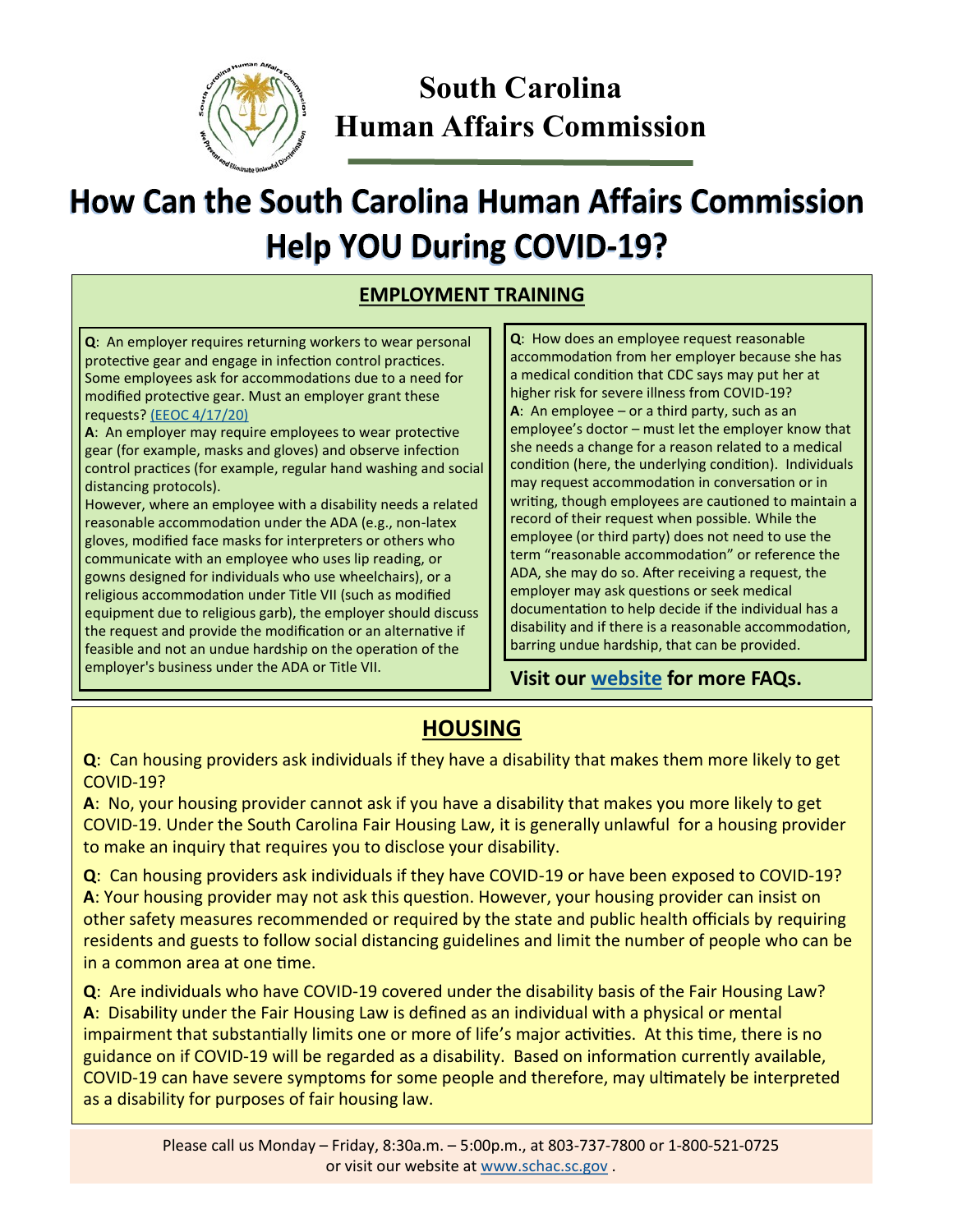

## **South Carolina Human Affairs Commission**

# **How Can the South Carolina Human Affairs Commission Help YOU During COVID-19?**

#### **EMPLOYMENT TRAINING**

**Q**: An employer requires returning workers to wear personal protective gear and engage in infection control practices. Some employees ask for accommodations due to a need for modified protective gear. Must an employer grant these requests? [\(EEOC 4/17/20\)](https://www.eeoc.gov/wysk/what-you-should-know-about-covid-19-and-ada-rehabilitation-act-and-other-eeo-laws)

**A**: An employer may require employees to wear protective gear (for example, masks and gloves) and observe infection control practices (for example, regular hand washing and social distancing protocols).

However, where an employee with a disability needs a related reasonable accommodation under the ADA (e.g., non-latex gloves, modified face masks for interpreters or others who communicate with an employee who uses lip reading, or gowns designed for individuals who use wheelchairs), or a religious accommodation under Title VII (such as modified equipment due to religious garb), the employer should discuss the request and provide the modification or an alternative if feasible and not an undue hardship on the operation of the employer's business under the ADA or Title VII.

**Q**: How does an employee request reasonable accommodation from her employer because she has a medical condition that CDC says may put her at higher risk for severe illness from COVID-19? **A**: An employee – or a third party, such as an employee's doctor – must let the employer know that she needs a change for a reason related to a medical condition (here, the underlying condition). Individuals may request accommodation in conversation or in writing, though employees are cautioned to maintain a record of their request when possible. While the employee (or third party) does not need to use the term "reasonable accommodation" or reference the ADA, she may do so. After receiving a request, the employer may ask questions or seek medical documentation to help decide if the individual has a disability and if there is a reasonable accommodation, barring undue hardship, that can be provided.

#### **Visit our [website](schac.sc.gov) for more FAQs.**

## **HOUSING**

**Q**: Can housing providers ask individuals if they have a disability that makes them more likely to get COVID-19?

**A**: No, your housing provider cannot ask if you have a disability that makes you more likely to get COVID-19. Under the South Carolina Fair Housing Law, it is generally unlawful for a housing provider to make an inquiry that requires you to disclose your disability.

**Q**: Can housing providers ask individuals if they have COVID-19 or have been exposed to COVID-19? **A**: Your housing provider may not ask this question. However, your housing provider can insist on other safety measures recommended or required by the state and public health officials by requiring residents and guests to follow social distancing guidelines and limit the number of people who can be in a common area at one time.

**Q**: Are individuals who have COVID-19 covered under the disability basis of the Fair Housing Law? **A**: Disability under the Fair Housing Law is defined as an individual with a physical or mental impairment that substantially limits one or more of life's major activities. At this time, there is no guidance on if COVID-19 will be regarded as a disability. Based on information currently available, COVID-19 can have severe symptoms for some people and therefore, may ultimately be interpreted as a disability for purposes of fair housing law.